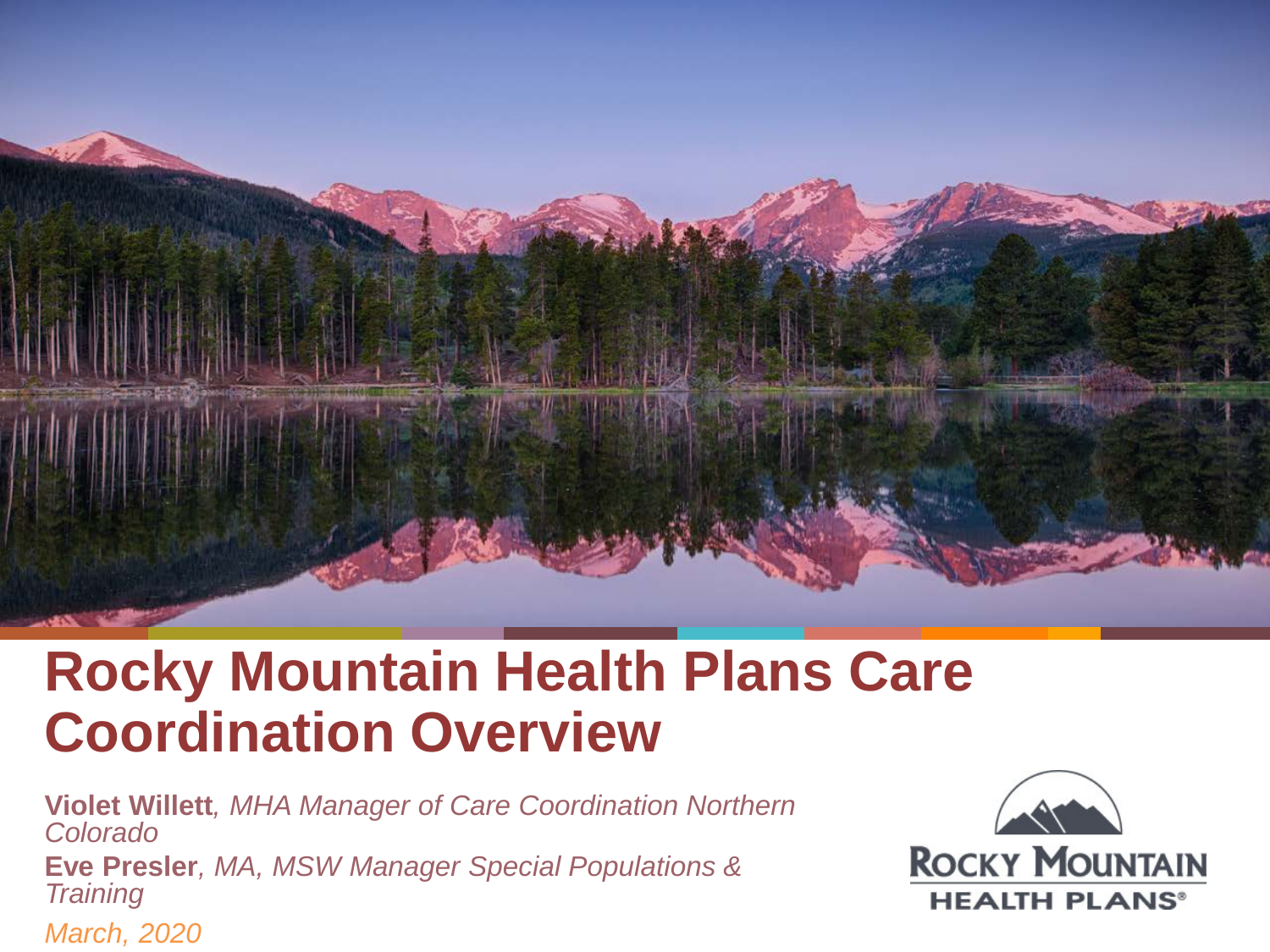

## **Rocky Mountain Health Plans Care Coordination Overview**

**Violet Willett***, MHA Manager of Care Coordination Northern Colorado*

**Eve Presler***, MA, MSW Manager Special Populations & Training*

*March, 2020*

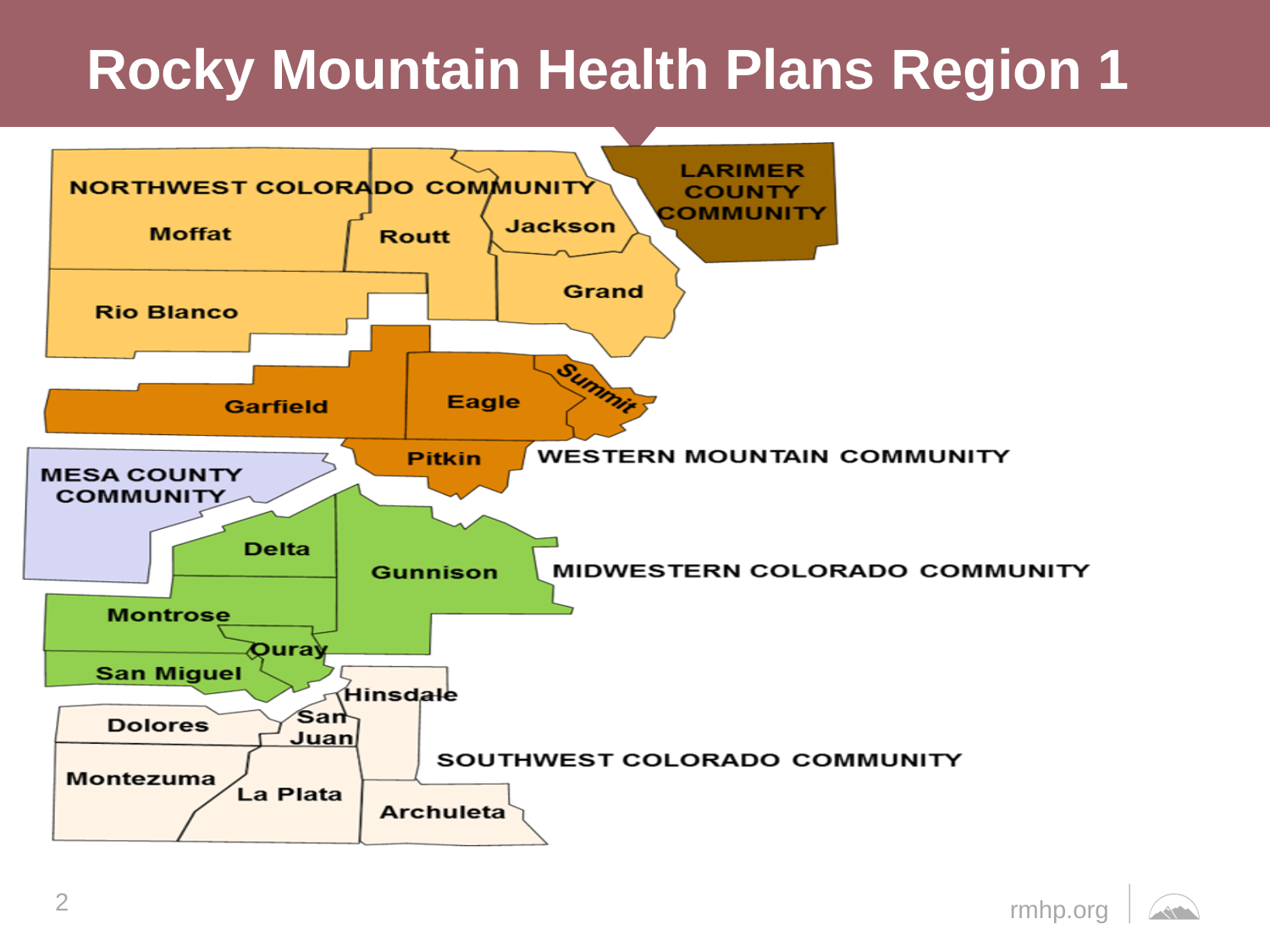## **Rocky Mountain Health Plans Region 1**

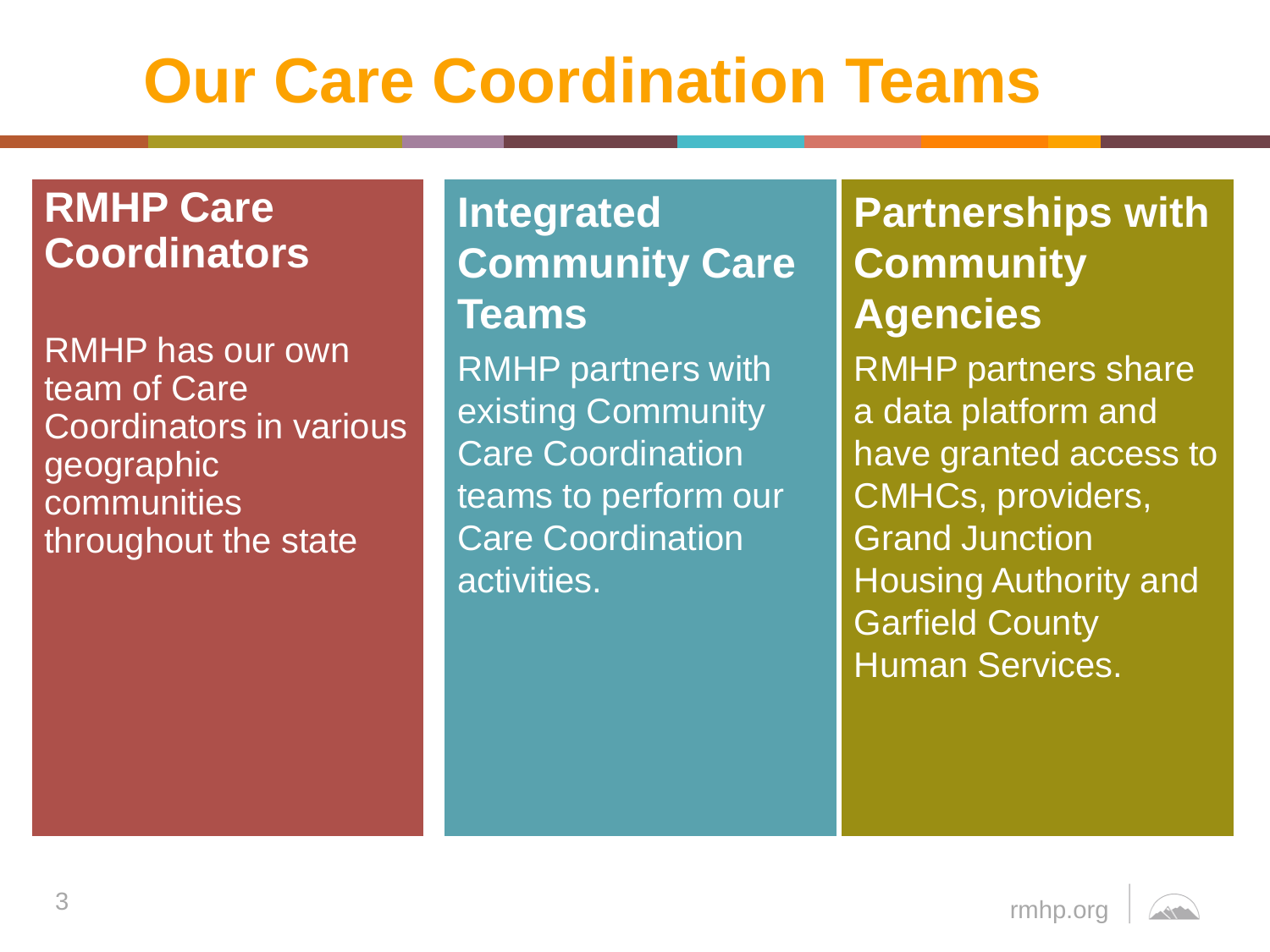# **Our Care Coordination Teams**

### **RMHP Care Coordinators**

RMHP has our own team of Care Coordinators in various geographic communities throughout the state

### **Integrated Community Care Teams**

RMHP partners with existing Community Care Coordination teams to perform our Care Coordination activities.

### **Partnerships with Community Agencies**

RMHP partners share a data platform and have granted access to CMHCs, providers, Grand Junction Housing Authority and Garfield County Human Services.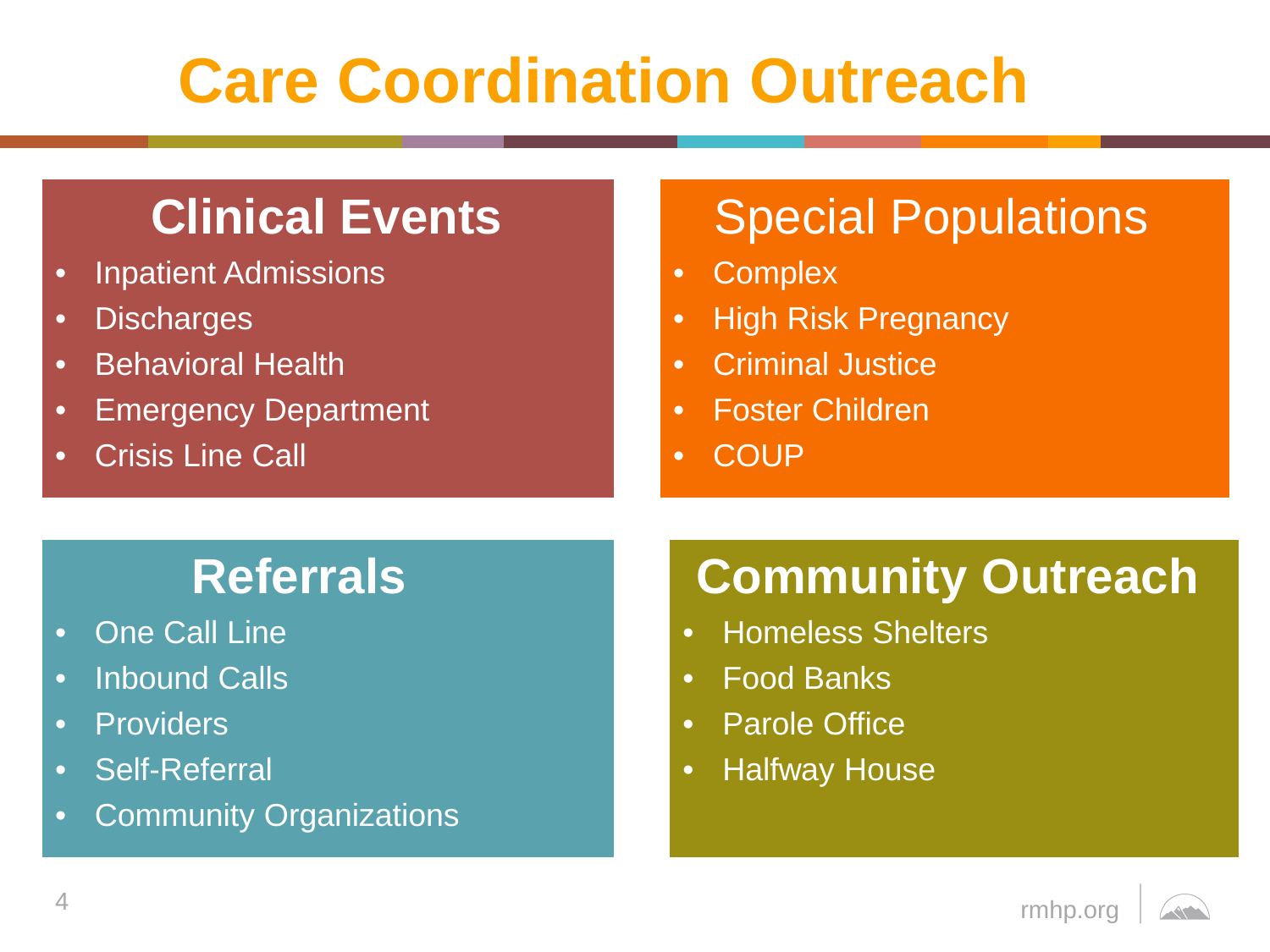# **Care Coordination Outreach**

### **Clinical Events**

- Inpatient Admissions
- Discharges
- Behavioral Health
- Emergency Department
- Crisis Line Call

### Special Populations

- Complex
- High Risk Pregnancy
- Criminal Justice
- Foster Children
- COUP

### **Referrals**

- One Call Line
- Inbound Calls
- Providers
- Self-Referral
- Community Organizations

### **Community Outreach**

- Homeless Shelters
- Food Banks
- Parole Office
- Halfway House

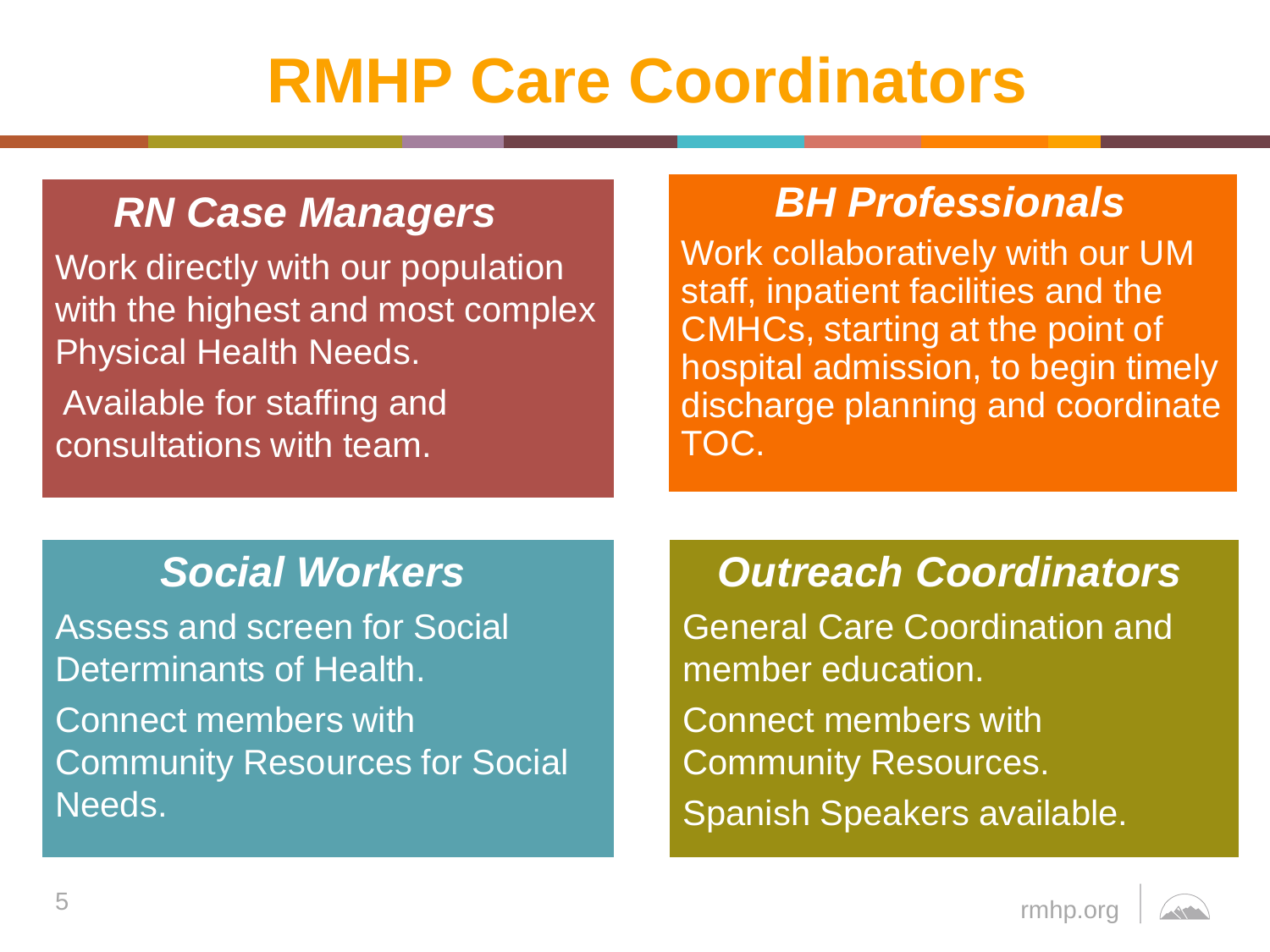# **RMHP Care Coordinators**

### *RN Case Managers*

Work directly with our population with the highest and most complex Physical Health Needs. Available for staffing and consultations with team.

### *BH Professionals*

Work collaboratively with our UM staff, inpatient facilities and the CMHCs, starting at the point of hospital admission, to begin timely discharge planning and coordinate TOC.

### *Social Workers*

Assess and screen for Social Determinants of Health. Connect members with Community Resources for Social Needs.

### *Outreach Coordinators*

General Care Coordination and member education. Connect members with Community Resources. Spanish Speakers available.

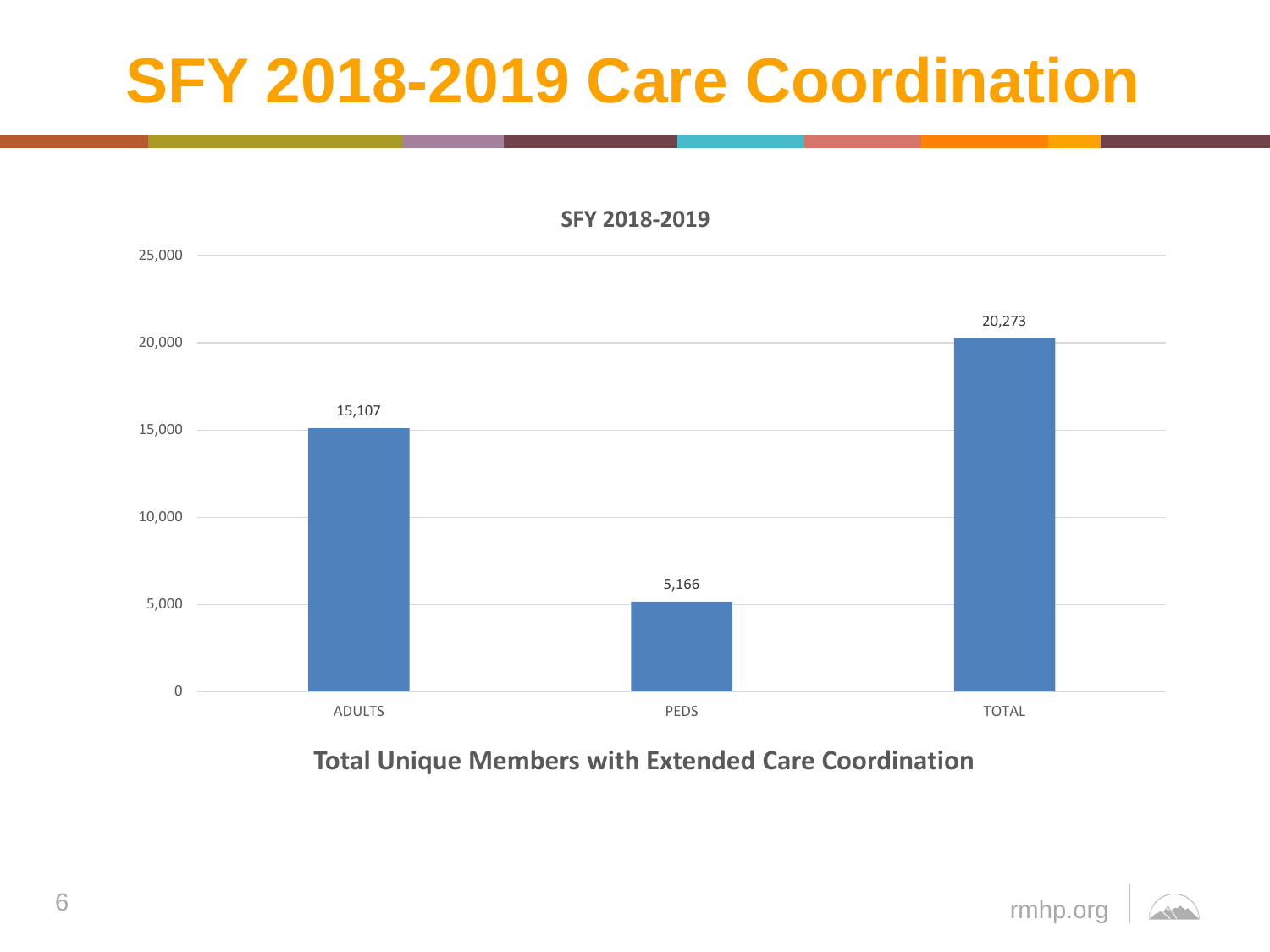# **SFY 2018-2019 Care Coordination**

**SFY 2018-2019**



**Total Unique Members with Extended Care Coordination**

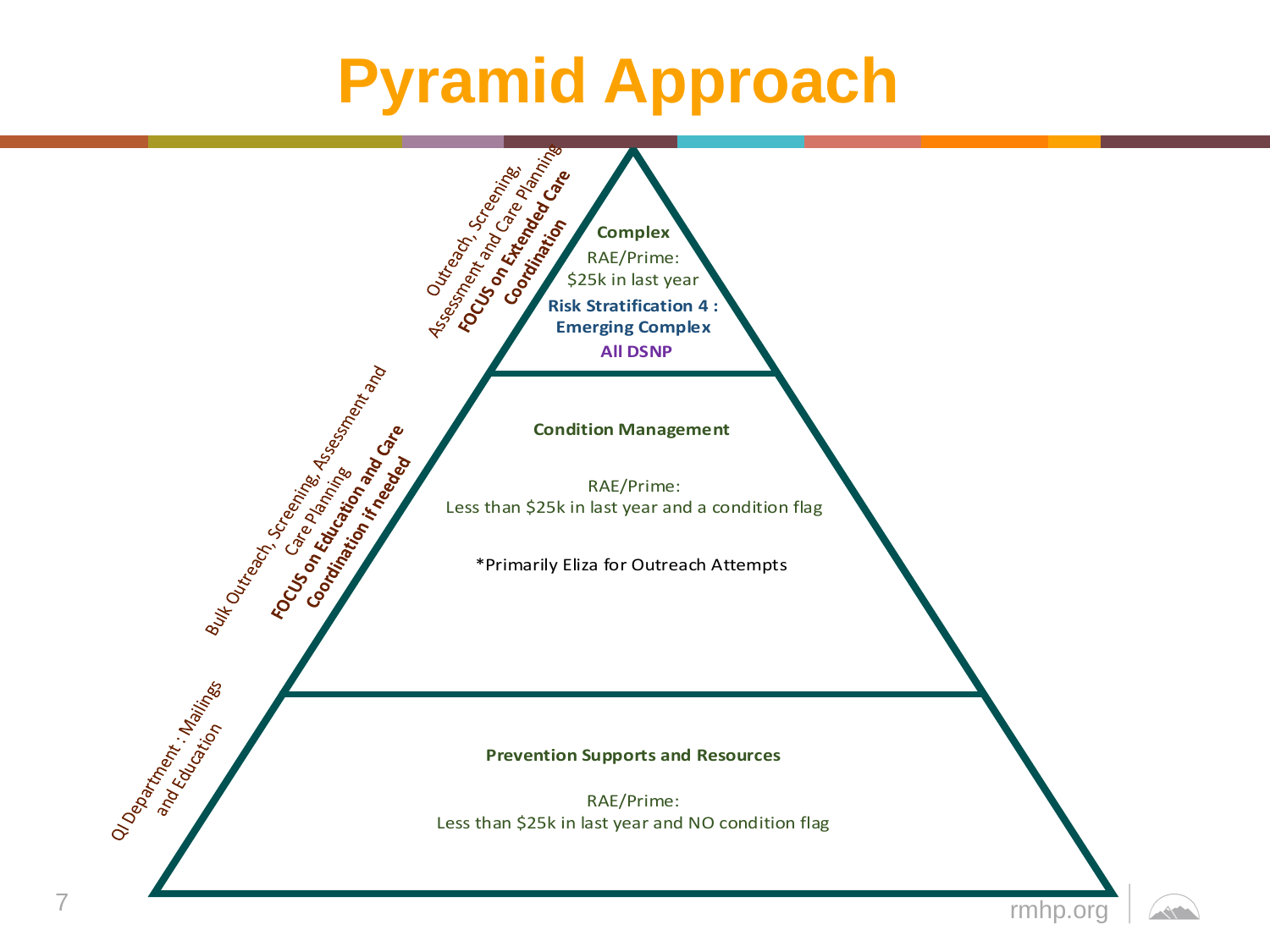## **Pyramid Approach**

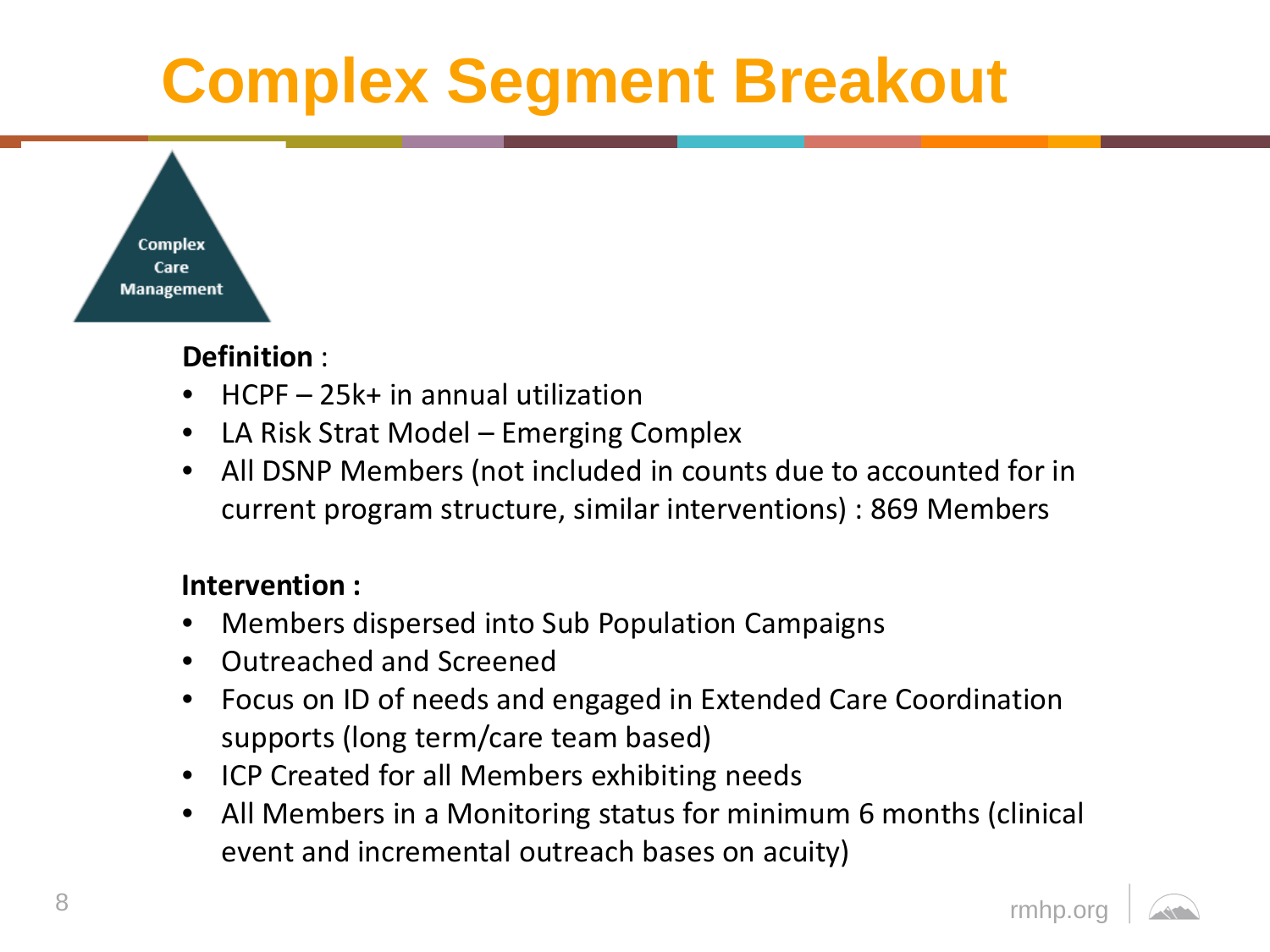# **Complex Segment Breakout**



#### **Definition** :

- HCPF 25k+ in annual utilization
- LA Risk Strat Model Emerging Complex
- All DSNP Members (not included in counts due to accounted for in current program structure, similar interventions) : 869 Members

#### **Intervention :**

- Members dispersed into Sub Population Campaigns
- Outreached and Screened
- Focus on ID of needs and engaged in Extended Care Coordination supports (long term/care team based)
- ICP Created for all Members exhibiting needs
- All Members in a Monitoring status for minimum 6 months (clinical event and incremental outreach bases on acuity)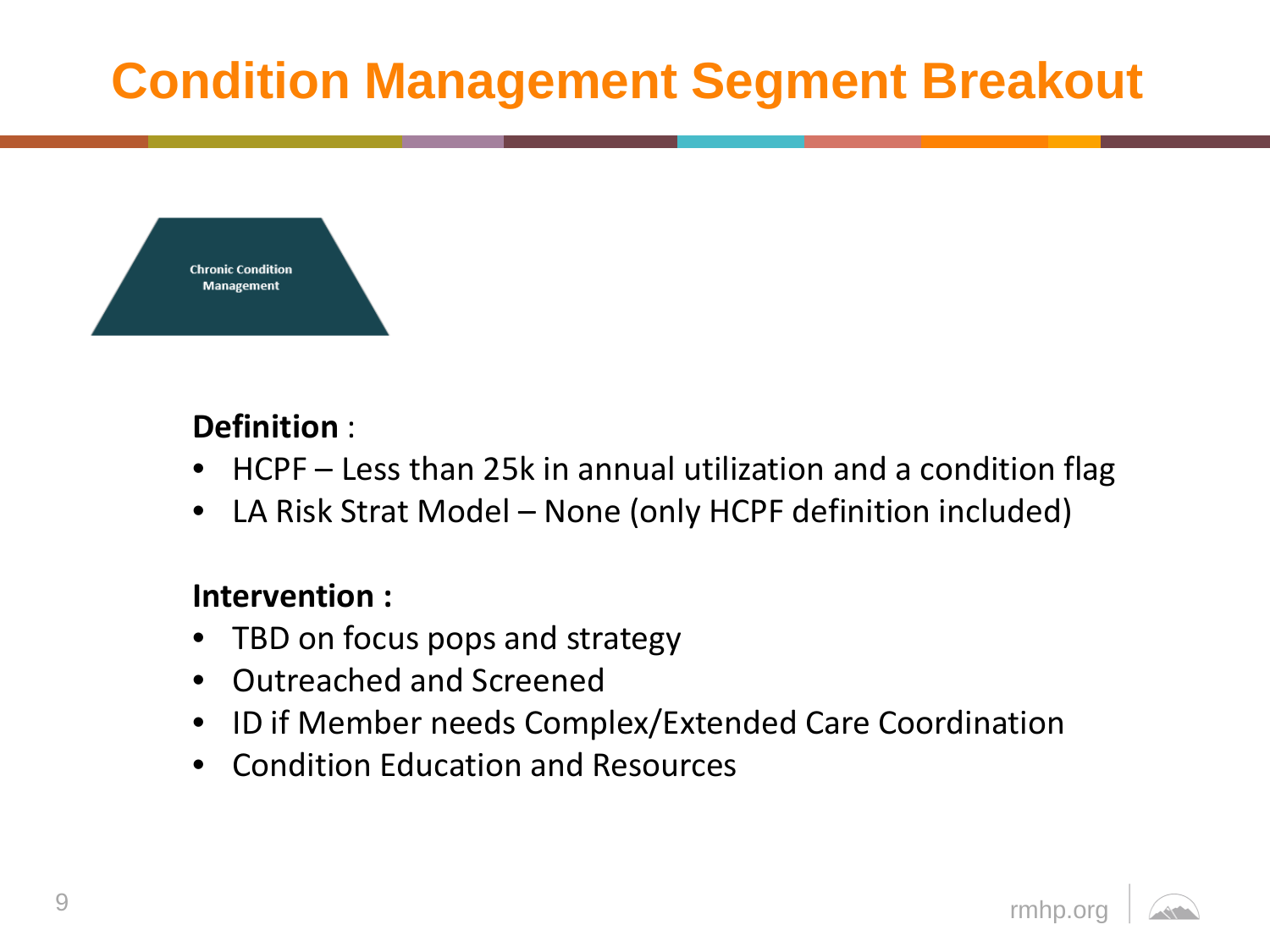## **Condition Management Segment Breakout**



#### **Definition** :

- HCPF Less than 25k in annual utilization and a condition flag
- LA Risk Strat Model None (only HCPF definition included)

#### **Intervention :**

- TBD on focus pops and strategy
- Outreached and Screened
- ID if Member needs Complex/Extended Care Coordination
- Condition Education and Resources

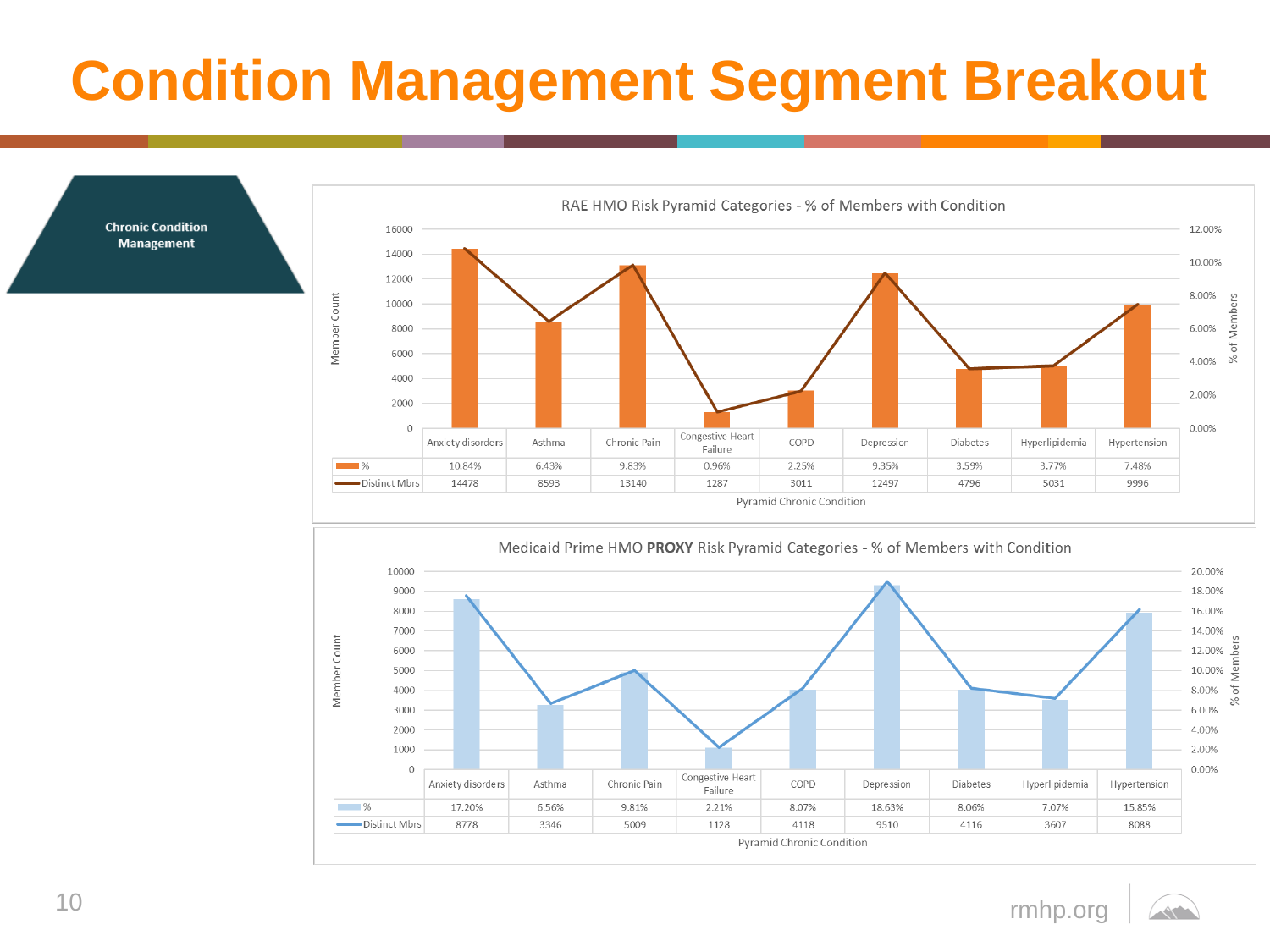## **Condition Management Segment Breakout**



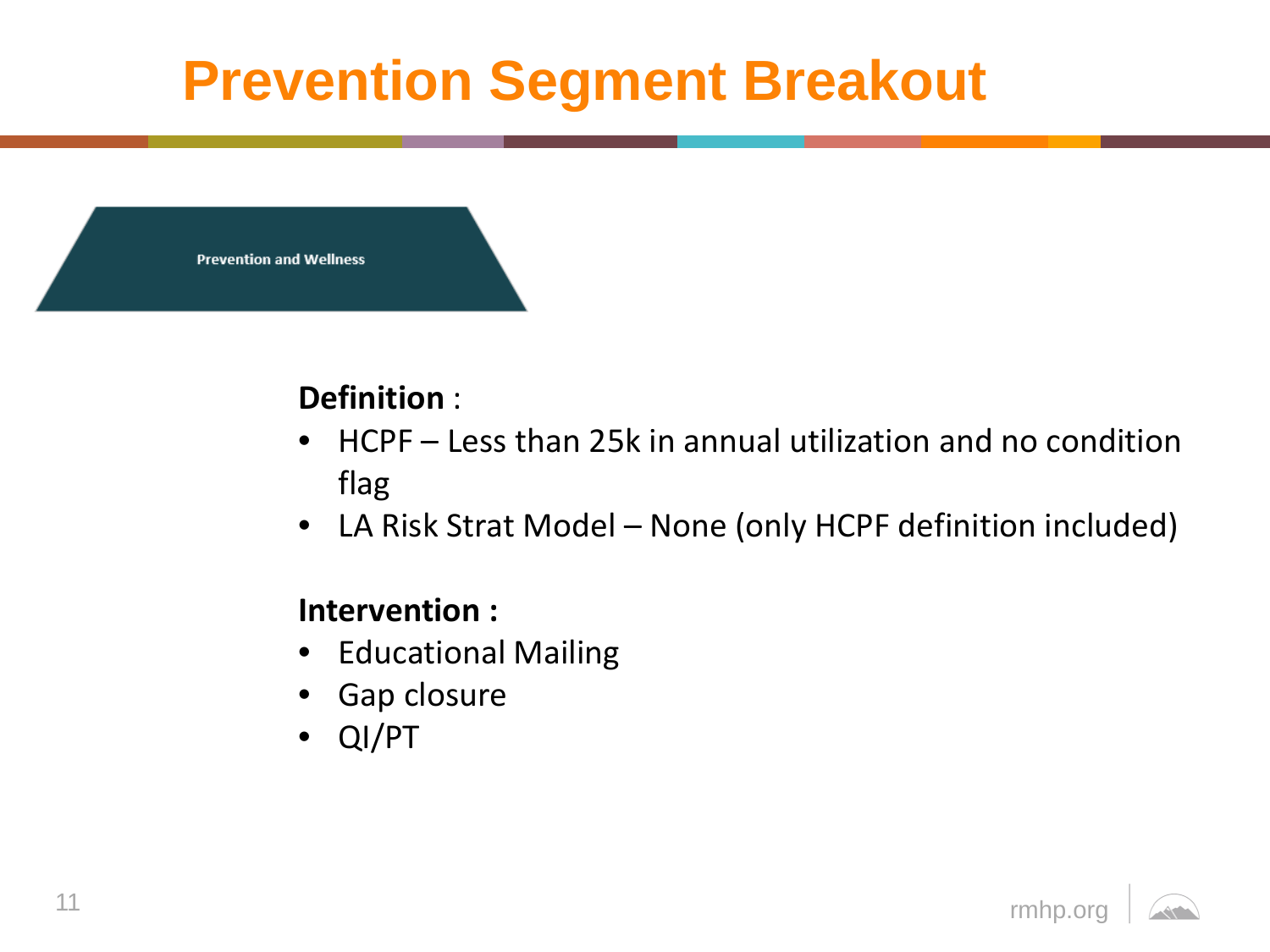## **Prevention Segment Breakout**

**Prevention and Wellness** 

### **Definition** :

- HCPF Less than 25k in annual utilization and no condition flag
- LA Risk Strat Model None (only HCPF definition included)

#### **Intervention :**

- Educational Mailing
- Gap closure
- QI/PT